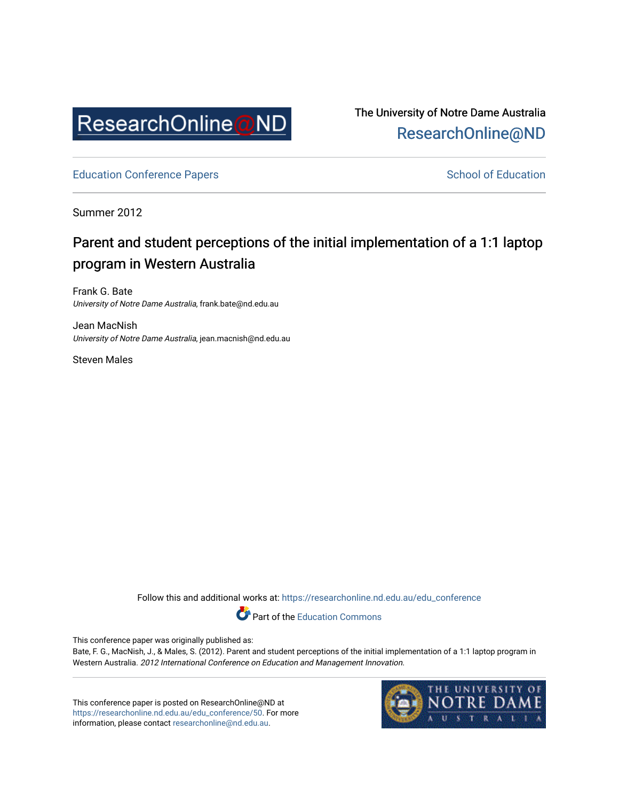

The University of Notre Dame Australia [ResearchOnline@ND](https://researchonline.nd.edu.au/) 

[Education Conference Papers](https://researchonline.nd.edu.au/edu_conference) **School of Education** School of Education

Summer 2012

# Parent and student perceptions of the initial implementation of a 1:1 laptop program in Western Australia

Frank G. Bate University of Notre Dame Australia, frank.bate@nd.edu.au

Jean MacNish University of Notre Dame Australia, jean.macnish@nd.edu.au

Steven Males

Follow this and additional works at: [https://researchonline.nd.edu.au/edu\\_conference](https://researchonline.nd.edu.au/edu_conference?utm_source=researchonline.nd.edu.au%2Fedu_conference%2F50&utm_medium=PDF&utm_campaign=PDFCoverPages)

Part of the [Education Commons](http://network.bepress.com/hgg/discipline/784?utm_source=researchonline.nd.edu.au%2Fedu_conference%2F50&utm_medium=PDF&utm_campaign=PDFCoverPages) 

This conference paper was originally published as:

Bate, F. G., MacNish, J., & Males, S. (2012). Parent and student perceptions of the initial implementation of a 1:1 laptop program in Western Australia. 2012 International Conference on Education and Management Innovation.

This conference paper is posted on ResearchOnline@ND at [https://researchonline.nd.edu.au/edu\\_conference/50.](https://researchonline.nd.edu.au/edu_conference/50) For more information, please contact [researchonline@nd.edu.au.](mailto:researchonline@nd.edu.au)

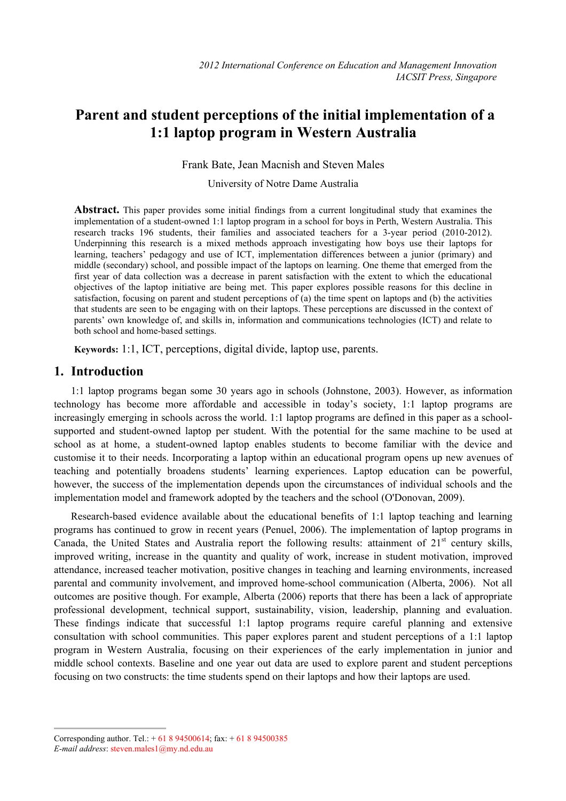# **Parent and student perceptions of the initial implementation of a 1:1 laptop program in Western Australia**

Frank Bate, Jean Macnish and Steven Males

University of Notre Dame Australia

**Abstract.** This paper provides some initial findings from a current longitudinal study that examines the implementation of a student-owned 1:1 laptop program in a school for boys in Perth, Western Australia. This research tracks 196 students, their families and associated teachers for a 3-year period (2010-2012). Underpinning this research is a mixed methods approach investigating how boys use their laptops for learning, teachers' pedagogy and use of ICT, implementation differences between a junior (primary) and middle (secondary) school, and possible impact of the laptops on learning. One theme that emerged from the first year of data collection was a decrease in parent satisfaction with the extent to which the educational objectives of the laptop initiative are being met. This paper explores possible reasons for this decline in satisfaction, focusing on parent and student perceptions of (a) the time spent on laptops and (b) the activities that students are seen to be engaging with on their laptops. These perceptions are discussed in the context of parents' own knowledge of, and skills in, information and communications technologies (ICT) and relate to both school and home-based settings.

**Keywords:** 1:1, ICT, perceptions, digital divide, laptop use, parents.

### **1. Introduction**

1:1 laptop programs began some 30 years ago in schools (Johnstone, 2003). However, as information technology has become more affordable and accessible in today's society, 1:1 laptop programs are increasingly emerging in schools across the world. 1:1 laptop programs are defined in this paper as a schoolsupported and student-owned laptop per student. With the potential for the same machine to be used at school as at home, a student-owned laptop enables students to become familiar with the device and customise it to their needs. Incorporating a laptop within an educational program opens up new avenues of teaching and potentially broadens students' learning experiences. Laptop education can be powerful, however, the success of the implementation depends upon the circumstances of individual schools and the implementation model and framework adopted by the teachers and the school (O'Donovan, 2009).

Research-based evidence available about the educational benefits of 1:1 laptop teaching and learning programs has continued to grow in recent years (Penuel, 2006). The implementation of laptop programs in Canada, the United States and Australia report the following results: attainment of  $21<sup>st</sup>$  century skills, improved writing, increase in the quantity and quality of work, increase in student motivation, improved attendance, increased teacher motivation, positive changes in teaching and learning environments, increased parental and community involvement, and improved home-school communication (Alberta, 2006). Not all outcomes are positive though. For example, Alberta (2006) reports that there has been a lack of appropriate professional development, technical support, sustainability, vision, leadership, planning and evaluation. These findings indicate that successful 1:1 laptop programs require careful planning and extensive consultation with school communities. This paper explores parent and student perceptions of a 1:1 laptop program in Western Australia, focusing on their experiences of the early implementation in junior and middle school contexts. Baseline and one year out data are used to explore parent and student perceptions focusing on two constructs: the time students spend on their laptops and how their laptops are used.

Corresponding author. Tel.:  $+ 61894500614$ ; fax:  $+ 61894500385$ *E-mail address*: steven.males1@my.nd.edu.au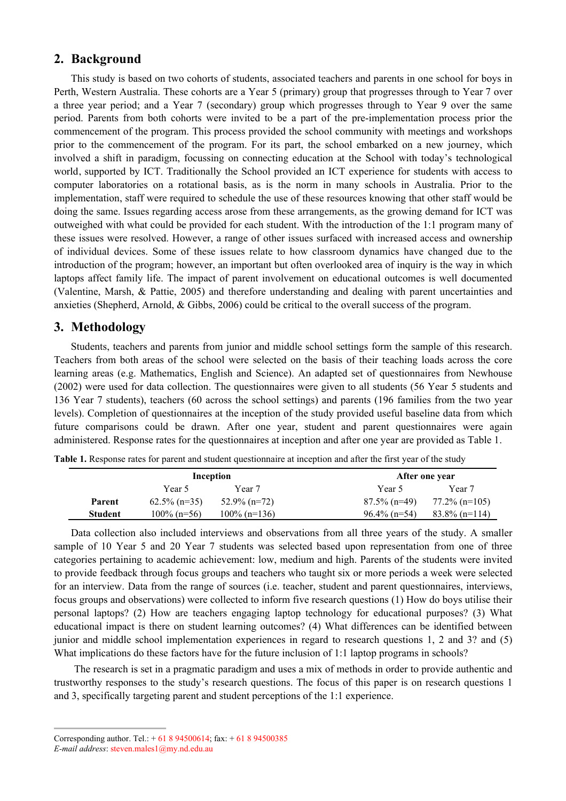## **2. Background**

This study is based on two cohorts of students, associated teachers and parents in one school for boys in Perth, Western Australia. These cohorts are a Year 5 (primary) group that progresses through to Year 7 over a three year period; and a Year 7 (secondary) group which progresses through to Year 9 over the same period. Parents from both cohorts were invited to be a part of the pre-implementation process prior the commencement of the program. This process provided the school community with meetings and workshops prior to the commencement of the program. For its part, the school embarked on a new journey, which involved a shift in paradigm, focussing on connecting education at the School with today's technological world, supported by ICT. Traditionally the School provided an ICT experience for students with access to computer laboratories on a rotational basis, as is the norm in many schools in Australia. Prior to the implementation, staff were required to schedule the use of these resources knowing that other staff would be doing the same. Issues regarding access arose from these arrangements, as the growing demand for ICT was outweighed with what could be provided for each student. With the introduction of the 1:1 program many of these issues were resolved. However, a range of other issues surfaced with increased access and ownership of individual devices. Some of these issues relate to how classroom dynamics have changed due to the introduction of the program; however, an important but often overlooked area of inquiry is the way in which laptops affect family life. The impact of parent involvement on educational outcomes is well documented (Valentine, Marsh, & Pattie, 2005) and therefore understanding and dealing with parent uncertainties and anxieties (Shepherd, Arnold, & Gibbs, 2006) could be critical to the overall success of the program.

## **3. Methodology**

Students, teachers and parents from junior and middle school settings form the sample of this research. Teachers from both areas of the school were selected on the basis of their teaching loads across the core learning areas (e.g. Mathematics, English and Science). An adapted set of questionnaires from Newhouse (2002) were used for data collection. The questionnaires were given to all students (56 Year 5 students and 136 Year 7 students), teachers (60 across the school settings) and parents (196 families from the two year levels). Completion of questionnaires at the inception of the study provided useful baseline data from which future comparisons could be drawn. After one year, student and parent questionnaires were again administered. Response rates for the questionnaires at inception and after one year are provided as Table 1.

|         | Inception       |                 |                 | After one year   |  |  |
|---------|-----------------|-----------------|-----------------|------------------|--|--|
|         | Year 5          | Year 7          | Year 5          | Year 7           |  |  |
| Parent  | $62.5\%$ (n=35) | $52.9\%$ (n=72) | $87.5\%$ (n=49) | $77.2\%$ (n=105) |  |  |
| Student | $100\%$ (n=56)  | $100\%$ (n=136) | $96.4\%$ (n=54) | $83.8\%$ (n=114) |  |  |

**Table 1.** Response rates for parent and student questionnaire at inception and after the first year of the study

Data collection also included interviews and observations from all three years of the study. A smaller sample of 10 Year 5 and 20 Year 7 students was selected based upon representation from one of three categories pertaining to academic achievement: low, medium and high. Parents of the students were invited to provide feedback through focus groups and teachers who taught six or more periods a week were selected for an interview. Data from the range of sources (i.e. teacher, student and parent questionnaires, interviews, focus groups and observations) were collected to inform five research questions (1) How do boys utilise their personal laptops? (2) How are teachers engaging laptop technology for educational purposes? (3) What educational impact is there on student learning outcomes? (4) What differences can be identified between junior and middle school implementation experiences in regard to research questions 1, 2 and 3? and (5) What implications do these factors have for the future inclusion of 1:1 laptop programs in schools?

The research is set in a pragmatic paradigm and uses a mix of methods in order to provide authentic and trustworthy responses to the study's research questions. The focus of this paper is on research questions 1 and 3, specifically targeting parent and student perceptions of the 1:1 experience.

Corresponding author. Tel.:  $+ 61894500614$ ; fax:  $+ 61894500385$ 

*E-mail address*: steven.males1@my.nd.edu.au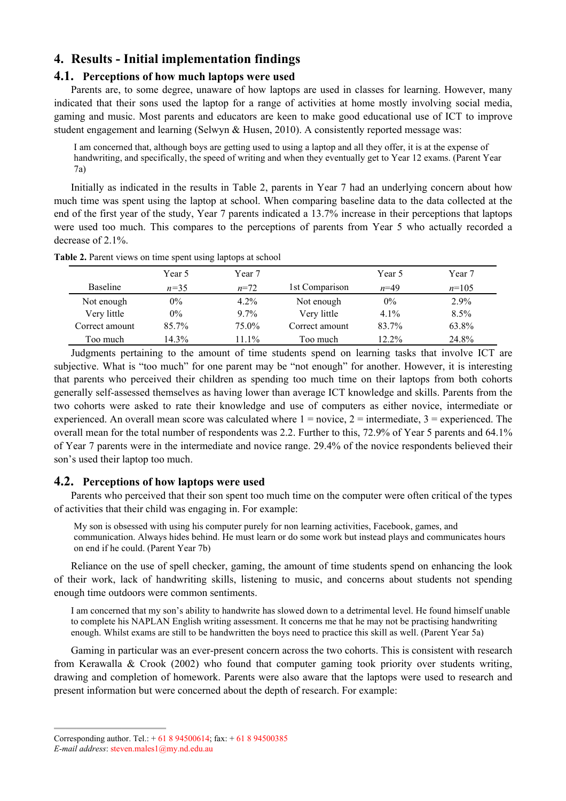## **4. Results - Initial implementation findings**

#### **4.1. Perceptions of how much laptops were used**

Parents are, to some degree, unaware of how laptops are used in classes for learning. However, many indicated that their sons used the laptop for a range of activities at home mostly involving social media, gaming and music. Most parents and educators are keen to make good educational use of ICT to improve student engagement and learning (Selwyn & Husen, 2010). A consistently reported message was:

I am concerned that, although boys are getting used to using a laptop and all they offer, it is at the expense of handwriting, and specifically, the speed of writing and when they eventually get to Year 12 exams. (Parent Year 7a)

Initially as indicated in the results in Table 2, parents in Year 7 had an underlying concern about how much time was spent using the laptop at school. When comparing baseline data to the data collected at the end of the first year of the study, Year 7 parents indicated a 13.7% increase in their perceptions that laptops were used too much. This compares to the perceptions of parents from Year 5 who actually recorded a decrease of 2.1%.

|                 | Year 5   | Year 7   |                | Year 5   | Year 7  |
|-----------------|----------|----------|----------------|----------|---------|
| <b>Baseline</b> | $n = 35$ | $n=72$   | 1st Comparison | $n=49$   | $n=105$ |
| Not enough      | 0%       | $4.2\%$  | Not enough     | $0\%$    | $2.9\%$ |
| Very little     | $0\%$    | $9.7\%$  | Very little    | 4.1%     | 8.5%    |
| Correct amount  | $85.7\%$ | 75.0%    | Correct amount | 83.7%    | 63.8%   |
| Too much-       | 14.3%    | $11.1\%$ | Too much       | $12.2\%$ | 24.8%   |

**Table 2.** Parent views on time spent using laptops at school

Judgments pertaining to the amount of time students spend on learning tasks that involve ICT are subjective. What is "too much" for one parent may be "not enough" for another. However, it is interesting that parents who perceived their children as spending too much time on their laptops from both cohorts generally self-assessed themselves as having lower than average ICT knowledge and skills. Parents from the two cohorts were asked to rate their knowledge and use of computers as either novice, intermediate or experienced. An overall mean score was calculated where  $1 = \text{novice}, 2 = \text{intermediate}, 3 = \text{expecified}$ . The overall mean for the total number of respondents was 2.2. Further to this, 72.9% of Year 5 parents and 64.1% of Year 7 parents were in the intermediate and novice range. 29.4% of the novice respondents believed their son's used their laptop too much.

#### **4.2. Perceptions of how laptops were used**

Parents who perceived that their son spent too much time on the computer were often critical of the types of activities that their child was engaging in. For example:

My son is obsessed with using his computer purely for non learning activities, Facebook, games, and communication. Always hides behind. He must learn or do some work but instead plays and communicates hours on end if he could. (Parent Year 7b)

Reliance on the use of spell checker, gaming, the amount of time students spend on enhancing the look of their work, lack of handwriting skills, listening to music, and concerns about students not spending enough time outdoors were common sentiments.

I am concerned that my son's ability to handwrite has slowed down to a detrimental level. He found himself unable to complete his NAPLAN English writing assessment. It concerns me that he may not be practising handwriting enough. Whilst exams are still to be handwritten the boys need to practice this skill as well. (Parent Year 5a)

Gaming in particular was an ever-present concern across the two cohorts. This is consistent with research from Kerawalla & Crook (2002) who found that computer gaming took priority over students writing, drawing and completion of homework. Parents were also aware that the laptops were used to research and present information but were concerned about the depth of research. For example:

Corresponding author. Tel.:  $+ 61894500614$ ; fax:  $+ 61894500385$ 

*E-mail address*: steven.males1@my.nd.edu.au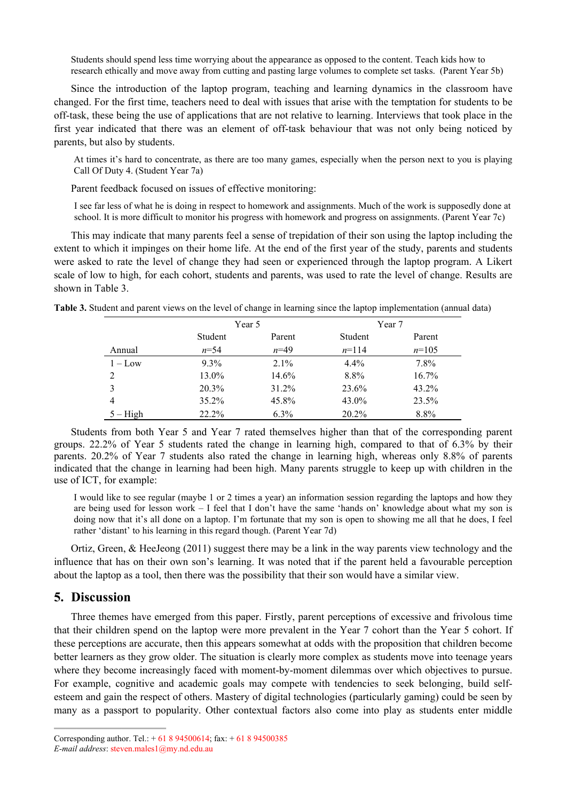Students should spend less time worrying about the appearance as opposed to the content. Teach kids how to research ethically and move away from cutting and pasting large volumes to complete set tasks. (Parent Year 5b)

Since the introduction of the laptop program, teaching and learning dynamics in the classroom have changed. For the first time, teachers need to deal with issues that arise with the temptation for students to be off-task, these being the use of applications that are not relative to learning. Interviews that took place in the first year indicated that there was an element of off-task behaviour that was not only being noticed by parents, but also by students.

At times it's hard to concentrate, as there are too many games, especially when the person next to you is playing Call Of Duty 4. (Student Year 7a)

Parent feedback focused on issues of effective monitoring:

I see far less of what he is doing in respect to homework and assignments. Much of the work is supposedly done at school. It is more difficult to monitor his progress with homework and progress on assignments. (Parent Year 7c)

This may indicate that many parents feel a sense of trepidation of their son using the laptop including the extent to which it impinges on their home life. At the end of the first year of the study, parents and students were asked to rate the level of change they had seen or experienced through the laptop program. A Likert scale of low to high, for each cohort, students and parents, was used to rate the level of change. Results are shown in Table 3.

|            | Year 5   |          | Year 7   |          |  |
|------------|----------|----------|----------|----------|--|
|            | Student  | Parent   | Student  | Parent   |  |
| Annual     | $n = 54$ | $n=49$   | $n=114$  | $n=105$  |  |
| $1 - L$ ow | $9.3\%$  | $2.1\%$  | $4.4\%$  | 7.8%     |  |
| 2          | 13.0%    | 14.6%    | 8.8%     | $16.7\%$ |  |
| 3          | $20.3\%$ | $31.2\%$ | 23.6%    | $43.2\%$ |  |
| 4          | $35.2\%$ | 45.8%    | 43.0%    | 23.5%    |  |
| $5 - High$ | $22.2\%$ | $6.3\%$  | $20.2\%$ | 8.8%     |  |

**Table 3.** Student and parent views on the level of change in learning since the laptop implementation (annual data)

Students from both Year 5 and Year 7 rated themselves higher than that of the corresponding parent groups. 22.2% of Year 5 students rated the change in learning high, compared to that of 6.3% by their parents. 20.2% of Year 7 students also rated the change in learning high, whereas only 8.8% of parents indicated that the change in learning had been high. Many parents struggle to keep up with children in the use of ICT, for example:

I would like to see regular (maybe 1 or 2 times a year) an information session regarding the laptops and how they are being used for lesson work – I feel that I don't have the same 'hands on' knowledge about what my son is doing now that it's all done on a laptop. I'm fortunate that my son is open to showing me all that he does, I feel rather 'distant' to his learning in this regard though. (Parent Year 7d)

Ortiz, Green, & HeeJeong (2011) suggest there may be a link in the way parents view technology and the influence that has on their own son's learning. It was noted that if the parent held a favourable perception about the laptop as a tool, then there was the possibility that their son would have a similar view.

### **5. Discussion**

Three themes have emerged from this paper. Firstly, parent perceptions of excessive and frivolous time that their children spend on the laptop were more prevalent in the Year 7 cohort than the Year 5 cohort. If these perceptions are accurate, then this appears somewhat at odds with the proposition that children become better learners as they grow older. The situation is clearly more complex as students move into teenage years where they become increasingly faced with moment-by-moment dilemmas over which objectives to pursue. For example, cognitive and academic goals may compete with tendencies to seek belonging, build selfesteem and gain the respect of others. Mastery of digital technologies (particularly gaming) could be seen by many as a passport to popularity. Other contextual factors also come into play as students enter middle

Corresponding author. Tel.: + 61 8 94500614; fax: + 61 8 94500385

*E-mail address*: steven.males1@my.nd.edu.au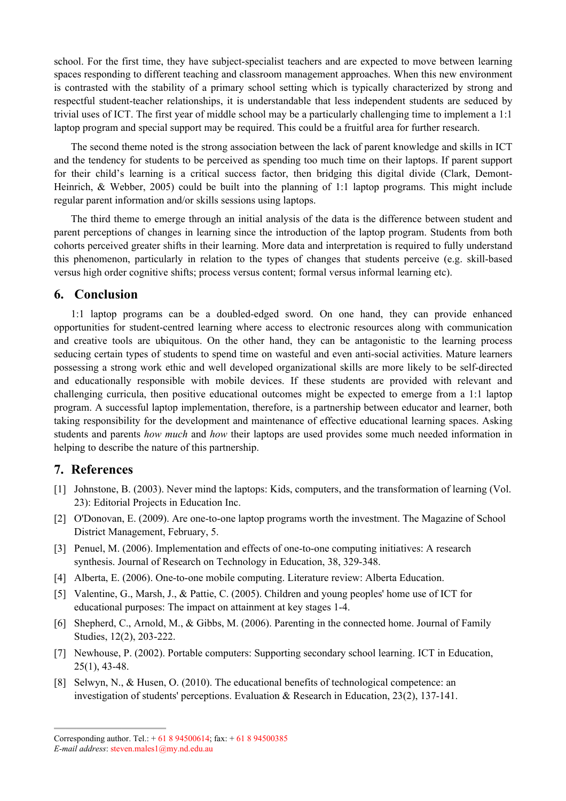school. For the first time, they have subject-specialist teachers and are expected to move between learning spaces responding to different teaching and classroom management approaches. When this new environment is contrasted with the stability of a primary school setting which is typically characterized by strong and respectful student-teacher relationships, it is understandable that less independent students are seduced by trivial uses of ICT. The first year of middle school may be a particularly challenging time to implement a 1:1 laptop program and special support may be required. This could be a fruitful area for further research.

The second theme noted is the strong association between the lack of parent knowledge and skills in ICT and the tendency for students to be perceived as spending too much time on their laptops. If parent support for their child's learning is a critical success factor, then bridging this digital divide (Clark, Demont-Heinrich, & Webber, 2005) could be built into the planning of 1:1 laptop programs. This might include regular parent information and/or skills sessions using laptops.

The third theme to emerge through an initial analysis of the data is the difference between student and parent perceptions of changes in learning since the introduction of the laptop program. Students from both cohorts perceived greater shifts in their learning. More data and interpretation is required to fully understand this phenomenon, particularly in relation to the types of changes that students perceive (e.g. skill-based versus high order cognitive shifts; process versus content; formal versus informal learning etc).

#### **6. Conclusion**

1:1 laptop programs can be a doubled-edged sword. On one hand, they can provide enhanced opportunities for student-centred learning where access to electronic resources along with communication and creative tools are ubiquitous. On the other hand, they can be antagonistic to the learning process seducing certain types of students to spend time on wasteful and even anti-social activities. Mature learners possessing a strong work ethic and well developed organizational skills are more likely to be self-directed and educationally responsible with mobile devices. If these students are provided with relevant and challenging curricula, then positive educational outcomes might be expected to emerge from a 1:1 laptop program. A successful laptop implementation, therefore, is a partnership between educator and learner, both taking responsibility for the development and maintenance of effective educational learning spaces. Asking students and parents *how much* and *how* their laptops are used provides some much needed information in helping to describe the nature of this partnership.

#### **7. References**

- [1] Johnstone, B. (2003). Never mind the laptops: Kids, computers, and the transformation of learning (Vol. 23): Editorial Projects in Education Inc.
- [2] O'Donovan, E. (2009). Are one-to-one laptop programs worth the investment. The Magazine of School District Management, February, 5.
- [3] Penuel, M. (2006). Implementation and effects of one-to-one computing initiatives: A research synthesis. Journal of Research on Technology in Education, 38, 329-348.
- [4] Alberta, E. (2006). One-to-one mobile computing. Literature review: Alberta Education.
- [5] Valentine, G., Marsh, J., & Pattie, C. (2005). Children and young peoples' home use of ICT for educational purposes: The impact on attainment at key stages 1-4.
- [6] Shepherd, C., Arnold, M., & Gibbs, M. (2006). Parenting in the connected home. Journal of Family Studies, 12(2), 203-222.
- [7] Newhouse, P. (2002). Portable computers: Supporting secondary school learning. ICT in Education, 25(1), 43-48.
- [8] Selwyn, N., & Husen, O. (2010). The educational benefits of technological competence: an investigation of students' perceptions. Evaluation & Research in Education, 23(2), 137-141.

Corresponding author. Tel.:  $+ 61894500614$ ; fax:  $+ 61894500385$ *E-mail address*: steven.males1@my.nd.edu.au